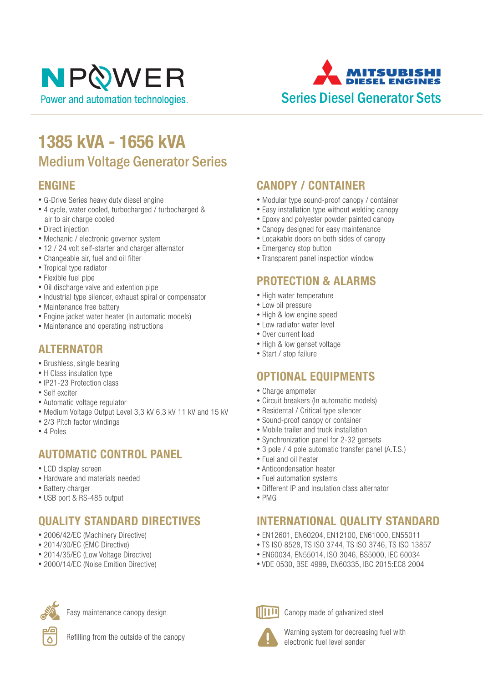# NPOWER Power and automation technologies.

ITSUR Series Diesel Generator Sets

### **1385 kVA - 1656 kVA** Medium Voltage Generator Series

#### **ENGINE**

- G-Drive Series heavy duty diesel engine
- 4 cycle, water cooled, turbocharged / turbocharged & air to air charge cooled
- Direct injection
- Mechanic / electronic governor system
- 12 / 24 volt self-starter and charger alternator
- Changeable air, fuel and oil filter
- Tropical type radiator
- Flexible fuel pipe
- Oil discharge valve and extention pipe
- Industrial type silencer, exhaust spiral or compensator
- Maintenance free battery
- Engine jacket water heater (In automatic models)
- Maintenance and operating instructions

#### **ALTERNATOR**

- Brushless, single bearing
- H Class insulation type
- IP21-23 Protection class
- Self exciter
- Automatic voltage regulator
- Medium Voltage Output Level 3,3 kV 6,3 kV 11 kV and 15 kV
- 2/3 Pitch factor windings
- 4 Poles

#### **AUTOMATIC CONTROL PANEL**

- LCD display screen
- Hardware and materials needed
- Battery charger
- USB port & RS-485 output

### **QUALITY STANDARD DIRECTIVES**

- 2006/42/EC (Machinery Directive)
- 2014/30/EC (EMC Directive)
- 2014/35/EC (Low Voltage Directive)
- 2000/14/EC (Noise Emition Directive)



Easy maintenance canopy design



Refilling from the outside of the canopy

#### **CANOPY / CONTAINER**

- Modular type sound-proof canopy / container
- Easy installation type without welding canopy
- Epoxy and polyester powder painted canopy
- Canopy designed for easy maintenance
- Locakable doors on both sides of canopy
- Emergency stop button
- Transparent panel inspection window

#### **PROTECTION & ALARMS**

- High water temperature
- Low oil pressure
- High & low engine speed
- Low radiator water level
- Over current load
- High & low genset voltage
- Start / stop failure

#### **OPTIONAL EQUIPMENTS**

- Charge ampmeter
- Circuit breakers (In automatic models)
- Residental / Critical type silencer
- Sound-proof canopy or container
- Mobile trailer and truck installation
- Synchronization panel for 2-32 gensets
- 3 pole / 4 pole automatic transfer panel (A.T.S.)
- Fuel and oil heater
- Anticondensation heater
- Fuel automation systems
- Different IP and Insulation class alternator
- PMG

#### **INTERNATIONAL QUALITY STANDARD**

- EN12601, EN60204, EN12100, EN61000, EN55011
- TS ISO 8528, TS ISO 3744, TS ISO 3746, TS ISO 13857
- EN60034, EN55014, ISO 3046, BS5000, IEC 60034
- VDE 0530, BSE 4999, EN60335, IBC 2015:EC8 2004



Canopy made of galvanized steel



Warning system for decreasing fuel with electronic fuel level sender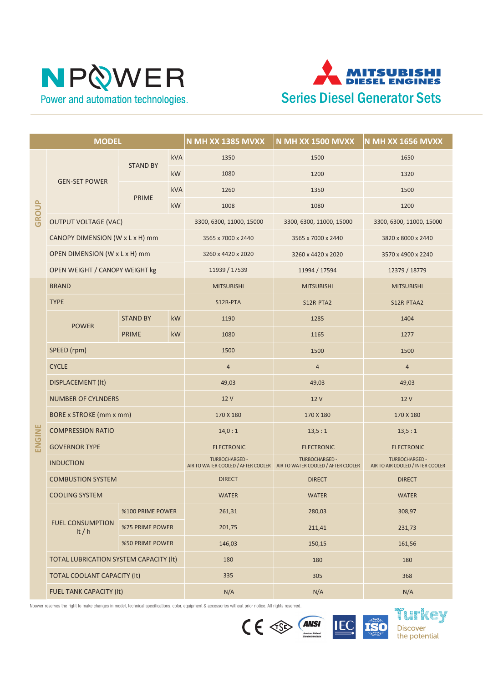# NPQWER Power and automation technologies.



| <b>MODEL</b> |                                        |                  |            | N MH XX 1385 MVXX        | <b>N MH XX 1500 MVXX</b>                                                                       | N MH XX 1656 MVXX                                  |
|--------------|----------------------------------------|------------------|------------|--------------------------|------------------------------------------------------------------------------------------------|----------------------------------------------------|
| <b>GROUP</b> | <b>GEN-SET POWER</b>                   | <b>STAND BY</b>  | kVA        | 1350                     | 1500                                                                                           | 1650                                               |
|              |                                        |                  | <b>kW</b>  | 1080                     | 1200                                                                                           | 1320                                               |
|              |                                        | <b>PRIME</b>     | <b>kVA</b> | 1260                     | 1350                                                                                           | 1500                                               |
|              |                                        |                  | kW         | 1008                     | 1080                                                                                           | 1200                                               |
|              | <b>OUTPUT VOLTAGE (VAC)</b>            |                  |            | 3300, 6300, 11000, 15000 | 3300, 6300, 11000, 15000                                                                       | 3300, 6300, 11000, 15000                           |
|              | CANOPY DIMENSION (W x L x H) mm        |                  |            | 3565 x 7000 x 2440       | 3565 x 7000 x 2440                                                                             | 3820 x 8000 x 2440                                 |
|              | OPEN DIMENSION (W x L x H) mm          |                  |            | 3260 x 4420 x 2020       | 3260 x 4420 x 2020                                                                             | 3570 x 4900 x 2240                                 |
|              | OPEN WEIGHT / CANOPY WEIGHT kg         |                  |            | 11939 / 17539            | 11994 / 17594                                                                                  | 12379 / 18779                                      |
|              | <b>BRAND</b>                           |                  |            | <b>MITSUBISHI</b>        | <b>MITSUBISHI</b>                                                                              | <b>MITSUBISHI</b>                                  |
|              | <b>TYPE</b>                            |                  |            | S12R-PTA                 | S12R-PTA2                                                                                      | S12R-PTAA2                                         |
|              | <b>POWER</b>                           | <b>STAND BY</b>  | <b>kW</b>  | 1190                     | 1285                                                                                           | 1404                                               |
|              |                                        | <b>PRIME</b>     | kW         | 1080                     | 1165                                                                                           | 1277                                               |
|              | SPEED (rpm)                            |                  |            | 1500                     | 1500                                                                                           | 1500                                               |
|              | <b>CYCLE</b>                           |                  |            | $\sqrt{4}$               | $\sqrt{4}$                                                                                     | $\overline{4}$                                     |
|              | DISPLACEMENT (It)                      |                  |            | 49,03                    | 49,03                                                                                          | 49,03                                              |
|              | <b>NUMBER OF CYLNDERS</b>              |                  |            | 12 V                     | 12 V                                                                                           | 12 V                                               |
|              | <b>BORE x STROKE (mm x mm)</b>         |                  |            | 170 X 180                | 170 X 180                                                                                      | 170 X 180                                          |
| ENGINE       | <b>COMPRESSION RATIO</b>               |                  |            | 14,0:1                   | 13,5:1                                                                                         | 13,5:1                                             |
|              | <b>GOVERNOR TYPE</b>                   |                  |            | <b>ELECTRONIC</b>        | <b>ELECTRONIC</b>                                                                              | <b>ELECTRONIC</b>                                  |
|              | <b>INDUCTION</b>                       |                  |            | <b>TURBOCHARGED -</b>    | <b>TURBOCHARGED -</b><br>AIR TO WATER COOLED / AFTER COOLER AIR TO WATER COOLED / AFTER COOLER | TURBOCHARGED -<br>AIR TO AIR COOLED / INTER COOLER |
|              | <b>COMBUSTION SYSTEM</b>               |                  |            | <b>DIRECT</b>            | <b>DIRECT</b>                                                                                  | <b>DIRECT</b>                                      |
|              | <b>COOLING SYSTEM</b>                  |                  |            | <b>WATER</b>             | <b>WATER</b>                                                                                   | <b>WATER</b>                                       |
|              |                                        | %100 PRIME POWER |            | 261,31                   | 280,03                                                                                         | 308,97                                             |
|              | <b>FUEL CONSUMPTION</b><br>It $/h$     | %75 PRIME POWER  |            | 201,75                   | 211,41                                                                                         | 231,73                                             |
|              |                                        | %50 PRIME POWER  |            | 146,03                   | 150,15                                                                                         | 161,56                                             |
|              | TOTAL LUBRICATION SYSTEM CAPACITY (It) |                  |            | 180                      | 180                                                                                            | 180                                                |
|              | <b>TOTAL COOLANT CAPACITY (It)</b>     |                  |            | 335                      | 305                                                                                            | 368                                                |
|              | FUEL TANK CAPACITY (It)                |                  |            | N/A                      | N/A                                                                                            | N/A                                                |

Npower reserves the right to make changes in model, technical specifications, color, equipment & accessories without prior notice. All rights reserved.





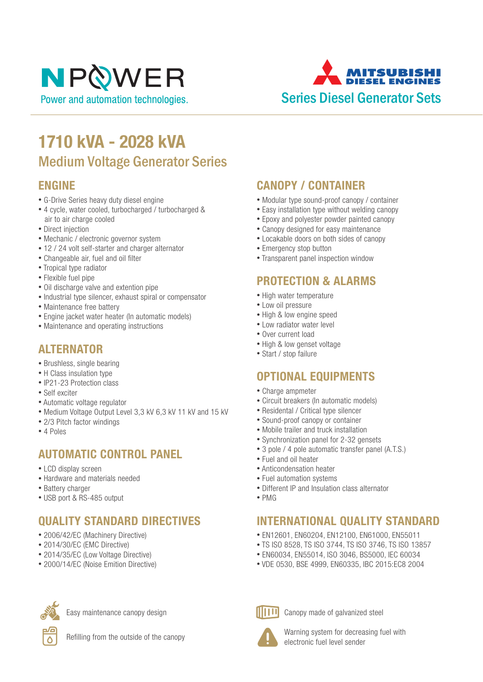# NPOWER Power and automation technologies.

ITSUR Series Diesel Generator Sets

## **1710 kVA - 2028 kVA** Medium Voltage Generator Series

#### **ENGINE**

- G-Drive Series heavy duty diesel engine
- 4 cycle, water cooled, turbocharged / turbocharged & air to air charge cooled
- Direct injection
- Mechanic / electronic governor system
- 12 / 24 volt self-starter and charger alternator
- Changeable air, fuel and oil filter
- Tropical type radiator
- Flexible fuel pipe
- Oil discharge valve and extention pipe
- Industrial type silencer, exhaust spiral or compensator
- Maintenance free battery
- Engine jacket water heater (In automatic models)
- Maintenance and operating instructions

#### **ALTERNATOR**

- Brushless, single bearing
- H Class insulation type
- IP21-23 Protection class
- Self exciter
- Automatic voltage regulator
- Medium Voltage Output Level 3,3 kV 6,3 kV 11 kV and 15 kV
- 2/3 Pitch factor windings
- 4 Poles

#### **AUTOMATIC CONTROL PANEL**

- LCD display screen
- Hardware and materials needed
- Battery charger
- USB port & RS-485 output

### **QUALITY STANDARD DIRECTIVES**

- 2006/42/EC (Machinery Directive)
- 2014/30/EC (EMC Directive)
- 2014/35/EC (Low Voltage Directive)
- 2000/14/EC (Noise Emition Directive)



Easy maintenance canopy design



Refilling from the outside of the canopy

#### **CANOPY / CONTAINER**

- Modular type sound-proof canopy / container
- Easy installation type without welding canopy
- Epoxy and polyester powder painted canopy
- Canopy designed for easy maintenance
- Locakable doors on both sides of canopy
- Emergency stop button
- Transparent panel inspection window

#### **PROTECTION & ALARMS**

- High water temperature
- Low oil pressure
- High & low engine speed
- Low radiator water level
- Over current load
- High & low genset voltage
- Start / stop failure

#### **OPTIONAL EQUIPMENTS**

- Charge ampmeter
- Circuit breakers (In automatic models)
- Residental / Critical type silencer
- Sound-proof canopy or container
- Mobile trailer and truck installation
- Synchronization panel for 2-32 gensets
- 3 pole / 4 pole automatic transfer panel (A.T.S.)
- Fuel and oil heater
- Anticondensation heater
- Fuel automation systems
- Different IP and Insulation class alternator
- PMG

#### **INTERNATIONAL QUALITY STANDARD**

- EN12601, EN60204, EN12100, EN61000, EN55011
- TS ISO 8528, TS ISO 3744, TS ISO 3746, TS ISO 13857
- EN60034, EN55014, ISO 3046, BS5000, IEC 60034
- VDE 0530, BSE 4999, EN60335, IBC 2015:EC8 2004



Canopy made of galvanized steel



Warning system for decreasing fuel with electronic fuel level sender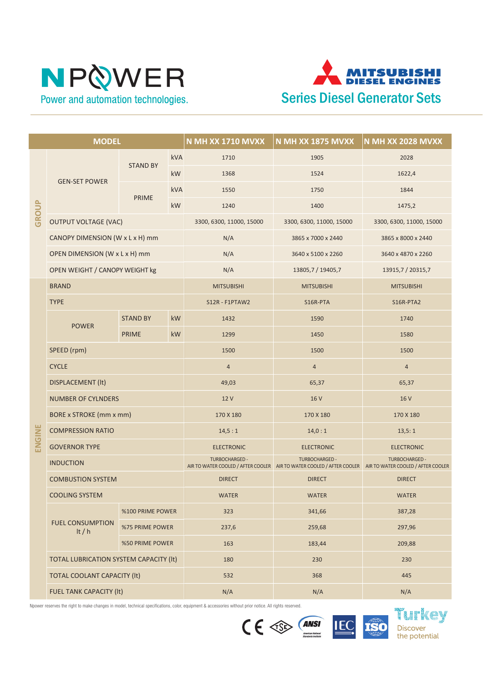



| <b>MODEL</b> |                                        |                  |            | <b>N MH XX 1710 MVXX</b> | <b>N MH XX 1875 MVXX</b>                                                                                                          | <b>N MH XX 2028 MVXX</b> |
|--------------|----------------------------------------|------------------|------------|--------------------------|-----------------------------------------------------------------------------------------------------------------------------------|--------------------------|
| GROUP        | <b>GEN-SET POWER</b>                   | <b>STAND BY</b>  | <b>kVA</b> | 1710                     | 1905                                                                                                                              | 2028                     |
|              |                                        |                  | <b>kW</b>  | 1368                     | 1524                                                                                                                              | 1622,4                   |
|              |                                        | <b>PRIME</b>     | <b>kVA</b> | 1550                     | 1750                                                                                                                              | 1844                     |
|              |                                        |                  | kW         | 1240                     | 1400                                                                                                                              | 1475,2                   |
|              | <b>OUTPUT VOLTAGE (VAC)</b>            |                  |            | 3300, 6300, 11000, 15000 | 3300, 6300, 11000, 15000                                                                                                          | 3300, 6300, 11000, 15000 |
|              | CANOPY DIMENSION (W x L x H) mm        |                  |            | N/A                      | 3865 x 7000 x 2440                                                                                                                | 3865 x 8000 x 2440       |
|              | OPEN DIMENSION (W x L x H) mm          |                  |            | N/A                      | 3640 x 5100 x 2260                                                                                                                | 3640 x 4870 x 2260       |
|              | OPEN WEIGHT / CANOPY WEIGHT kg         |                  |            | N/A                      | 13805,7 / 19405,7                                                                                                                 | 13915,7 / 20315,7        |
|              | <b>BRAND</b>                           |                  |            | <b>MITSUBISHI</b>        | <b>MITSUBISHI</b>                                                                                                                 | <b>MITSUBISHI</b>        |
|              | <b>TYPE</b>                            |                  |            | S12R - F1PTAW2           | S16R-PTA                                                                                                                          | S16R-PTA2                |
|              | <b>POWER</b>                           | <b>STAND BY</b>  | kW         | 1432                     | 1590                                                                                                                              | 1740                     |
|              |                                        | <b>PRIME</b>     | kW         | 1299                     | 1450                                                                                                                              | 1580                     |
|              | SPEED (rpm)                            |                  |            | 1500                     | 1500                                                                                                                              | 1500                     |
|              | <b>CYCLE</b>                           |                  |            | $\sqrt{4}$               | $\sqrt{4}$                                                                                                                        | $\overline{4}$           |
|              | DISPLACEMENT (It)                      |                  |            | 49,03                    | 65,37                                                                                                                             | 65,37                    |
|              | <b>NUMBER OF CYLNDERS</b>              |                  |            | 12 V                     | 16 V                                                                                                                              | 16 V                     |
|              | <b>BORE x STROKE (mm x mm)</b>         |                  |            | 170 X 180                | 170 X 180                                                                                                                         | 170 X 180                |
| ENGINE       | <b>COMPRESSION RATIO</b>               |                  |            | 14,5:1                   | 14,0:1                                                                                                                            | 13,5:1                   |
|              | <b>GOVERNOR TYPE</b>                   |                  |            | <b>ELECTRONIC</b>        | <b>ELECTRONIC</b>                                                                                                                 | <b>ELECTRONIC</b>        |
|              | <b>INDUCTION</b>                       |                  |            | TURBOCHARGED -           | <b>TURBOCHARGED -</b><br>AIR TO WATER COOLED / AFTER COOLER AIR TO WATER COOLED / AFTER COOLER AIR TO WATER COOLED / AFTER COOLER | TURBOCHARGED -           |
|              | <b>COMBUSTION SYSTEM</b>               |                  |            | <b>DIRECT</b>            | <b>DIRECT</b>                                                                                                                     | <b>DIRECT</b>            |
|              | <b>COOLING SYSTEM</b>                  |                  |            | <b>WATER</b>             | <b>WATER</b>                                                                                                                      | <b>WATER</b>             |
|              |                                        | %100 PRIME POWER |            | 323                      | 341,66                                                                                                                            | 387,28                   |
|              | <b>FUEL CONSUMPTION</b><br>It $/h$     | %75 PRIME POWER  |            | 237,6                    | 259,68                                                                                                                            | 297,96                   |
|              |                                        | %50 PRIME POWER  |            | 163                      | 183,44                                                                                                                            | 209,88                   |
|              | TOTAL LUBRICATION SYSTEM CAPACITY (It) |                  |            | 180                      | 230                                                                                                                               | 230                      |
|              | <b>TOTAL COOLANT CAPACITY (It)</b>     |                  |            | 532                      | 368                                                                                                                               | 445                      |
|              | FUEL TANK CAPACITY (It)                |                  |            | N/A                      | N/A                                                                                                                               | N/A                      |

Npower reserves the right to make changes in model, technical specifications, color, equipment & accessories without prior notice. All rights reserved.





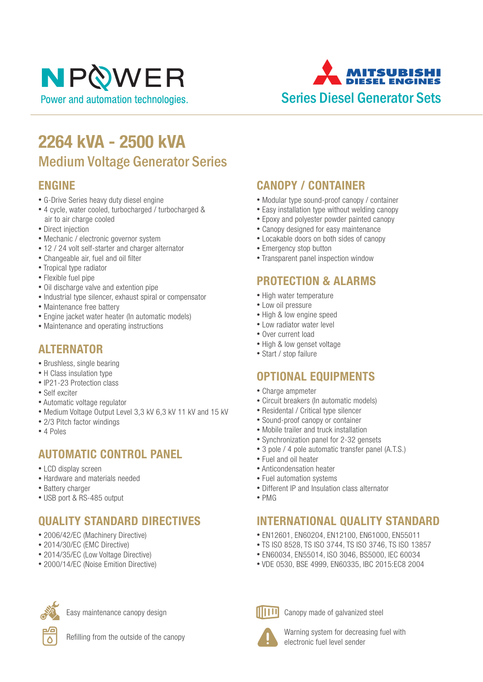# NPOWER Power and automation technologies.

ITSUR Series Diesel Generator Sets

## **2264 kVA - 2500 kVA** Medium Voltage Generator Series

#### **ENGINE**

- G-Drive Series heavy duty diesel engine
- 4 cycle, water cooled, turbocharged / turbocharged & air to air charge cooled
- Direct injection
- Mechanic / electronic governor system
- 12 / 24 volt self-starter and charger alternator
- Changeable air, fuel and oil filter
- Tropical type radiator
- Flexible fuel pipe
- Oil discharge valve and extention pipe
- Industrial type silencer, exhaust spiral or compensator
- Maintenance free battery
- Engine jacket water heater (In automatic models)
- Maintenance and operating instructions

#### **ALTERNATOR**

- Brushless, single bearing
- H Class insulation type
- IP21-23 Protection class
- Self exciter
- Automatic voltage regulator
- Medium Voltage Output Level 3,3 kV 6,3 kV 11 kV and 15 kV
- 2/3 Pitch factor windings
- 4 Poles

#### **AUTOMATIC CONTROL PANEL**

- LCD display screen
- Hardware and materials needed
- Battery charger
- USB port & RS-485 output

### **QUALITY STANDARD DIRECTIVES**

- 2006/42/EC (Machinery Directive)
- 2014/30/EC (EMC Directive)
- 2014/35/EC (Low Voltage Directive)
- 2000/14/EC (Noise Emition Directive)



Easy maintenance canopy design



Refilling from the outside of the canopy

#### **CANOPY / CONTAINER**

- Modular type sound-proof canopy / container
- Easy installation type without welding canopy
- Epoxy and polyester powder painted canopy
- Canopy designed for easy maintenance
- Locakable doors on both sides of canopy
- Emergency stop button
- Transparent panel inspection window

#### **PROTECTION & ALARMS**

- High water temperature
- Low oil pressure
- High & low engine speed
- Low radiator water level
- Over current load
- High & low genset voltage
- Start / stop failure

#### **OPTIONAL EQUIPMENTS**

- Charge ampmeter
- Circuit breakers (In automatic models)
- Residental / Critical type silencer
- Sound-proof canopy or container
- Mobile trailer and truck installation
- Synchronization panel for 2-32 gensets
- 3 pole / 4 pole automatic transfer panel (A.T.S.)
- Fuel and oil heater
- Anticondensation heater
- Fuel automation systems
- Different IP and Insulation class alternator
- PMG

#### **INTERNATIONAL QUALITY STANDARD**

- EN12601, EN60204, EN12100, EN61000, EN55011
- TS ISO 8528, TS ISO 3744, TS ISO 3746, TS ISO 13857
- EN60034, EN55014, ISO 3046, BS5000, IEC 60034
- VDE 0530, BSE 4999, EN60335, IBC 2015:EC8 2004



Canopy made of galvanized steel



Warning system for decreasing fuel with electronic fuel level sender